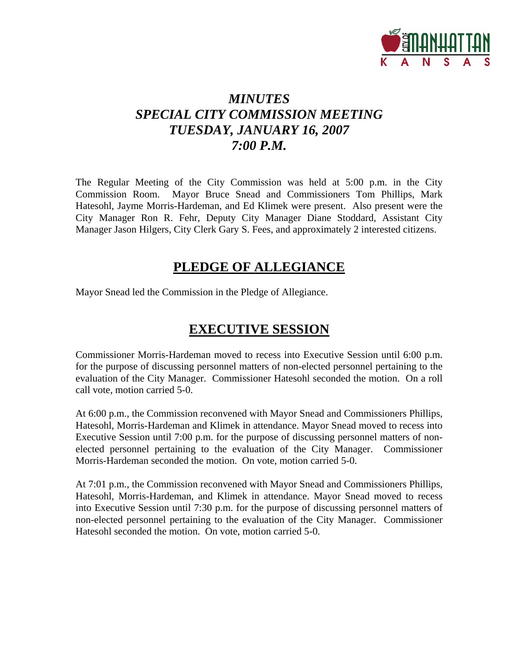

# *MINUTES SPECIAL CITY COMMISSION MEETING TUESDAY, JANUARY 16, 2007 7:00 P.M.*

The Regular Meeting of the City Commission was held at 5:00 p.m. in the City Commission Room. Mayor Bruce Snead and Commissioners Tom Phillips, Mark Hatesohl, Jayme Morris-Hardeman, and Ed Klimek were present. Also present were the City Manager Ron R. Fehr, Deputy City Manager Diane Stoddard, Assistant City Manager Jason Hilgers, City Clerk Gary S. Fees, and approximately 2 interested citizens.

## **PLEDGE OF ALLEGIANCE**

Mayor Snead led the Commission in the Pledge of Allegiance.

## **EXECUTIVE SESSION**

Commissioner Morris-Hardeman moved to recess into Executive Session until 6:00 p.m. for the purpose of discussing personnel matters of non-elected personnel pertaining to the evaluation of the City Manager. Commissioner Hatesohl seconded the motion. On a roll call vote, motion carried 5-0.

At 6:00 p.m., the Commission reconvened with Mayor Snead and Commissioners Phillips, Hatesohl, Morris-Hardeman and Klimek in attendance. Mayor Snead moved to recess into Executive Session until 7:00 p.m. for the purpose of discussing personnel matters of nonelected personnel pertaining to the evaluation of the City Manager. Commissioner Morris-Hardeman seconded the motion. On vote, motion carried 5-0.

At 7:01 p.m., the Commission reconvened with Mayor Snead and Commissioners Phillips, Hatesohl, Morris-Hardeman, and Klimek in attendance. Mayor Snead moved to recess into Executive Session until 7:30 p.m. for the purpose of discussing personnel matters of non-elected personnel pertaining to the evaluation of the City Manager. Commissioner Hatesohl seconded the motion. On vote, motion carried 5-0.